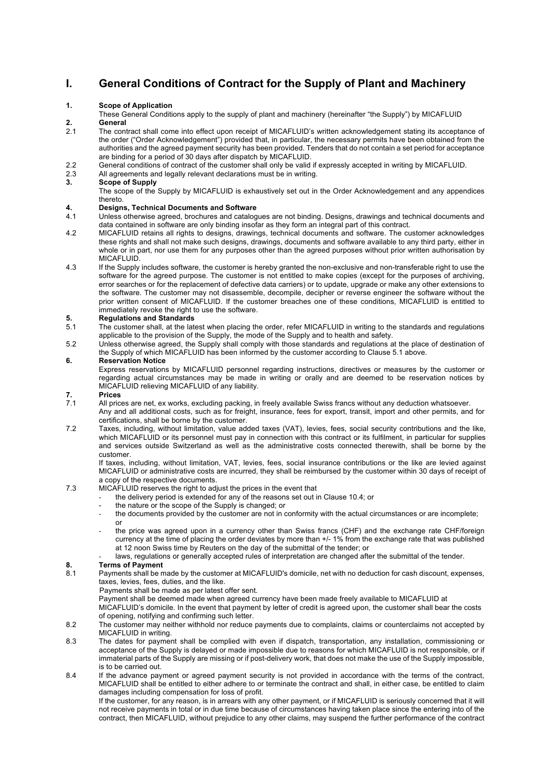### **I. General Conditions of Contract for the Supply of Plant and Machinery**

#### **1. Scope of Application**

These General Conditions apply to the supply of plant and machinery (hereinafter "the Supply") by MICAFLUID **2. General**

- The contract shall come into effect upon receipt of MICAFLUID's written acknowledgement stating its acceptance of the order ("Order Acknowledgement") provided that, in particular, the necessary permits have been obtained from the authorities and the agreed payment security has been provided. Tenders that do not contain a set period for acceptance are binding for a period of 30 days after dispatch by MICAFLUID.
- 2.2 General conditions of contract of the customer shall only be valid if expressly accepted in writing by MICAFLUID.

# 2.3 All agreements and legally relevant declarations must be in writing.<br>3. Scope of Supply

#### **3. Scope of Supply**

The scope of the Supply by MICAFLUID is exhaustively set out in the Order Acknowledgement and any appendices thereto.

### **4. Designs, Technical Documents and Software**

- 4.1 Unless otherwise agreed, brochures and catalogues are not binding. Designs, drawings and technical documents and data contained in software are only binding insofar as they form an integral part of this contract.
- 4.2 MICAFLUID retains all rights to designs, drawings, technical documents and software. The customer acknowledges these rights and shall not make such designs, drawings, documents and software available to any third party, either in whole or in part, nor use them for any purposes other than the agreed purposes without prior written authorisation by MICAFLUID.
- 4.3 If the Supply includes software, the customer is hereby granted the non-exclusive and non-transferable right to use the software for the agreed purpose. The customer is not entitled to make copies (except for the purposes of archiving, error searches or for the replacement of defective data carriers) or to update, upgrade or make any other extensions to the software. The customer may not disassemble, decompile, decipher or reverse engineer the software without the prior written consent of MICAFLUID. If the customer breaches one of these conditions, MICAFLUID is entitled to immediately revoke the right to use the software.

# **5. Regulations and Standards**

- The customer shall, at the latest when placing the order, refer MICAFLUID in writing to the standards and regulations applicable to the provision of the Supply, the mode of the Supply and to health and safety.
- 5.2 Unless otherwise agreed, the Supply shall comply with those standards and regulations at the place of destination of the Supply of which MICAFLUID has been informed by the customer according to Clause 5.1 above.

#### **6. Reservation Notice**

Express reservations by MICAFLUID personnel regarding instructions, directives or measures by the customer or regarding actual circumstances may be made in writing or orally and are deemed to be reservation notices by MICAFLUID relieving MICAFLUID of any liability.

### **7. Prices**

- All prices are net, ex works, excluding packing, in freely available Swiss francs without any deduction whatsoever. Any and all additional costs, such as for freight, insurance, fees for export, transit, import and other permits, and for certifications, shall be borne by the customer.
- 7.2 Taxes, including, without limitation, value added taxes (VAT), levies, fees, social security contributions and the like, which MICAFLUID or its personnel must pay in connection with this contract or its fulfilment, in particular for supplies and services outside Switzerland as well as the administrative costs connected therewith, shall be borne by the customer.

If taxes, including, without limitation, VAT, levies, fees, social insurance contributions or the like are levied against MICAFLUID or administrative costs are incurred, they shall be reimbursed by the customer within 30 days of receipt of a copy of the respective documents.

#### 7.3 MICAFLUID reserves the right to adjust the prices in the event that

- the delivery period is extended for any of the reasons set out in Clause 10.4; or
- the nature or the scope of the Supply is changed; or
- the documents provided by the customer are not in conformity with the actual circumstances or are incomplete; or
- the price was agreed upon in a currency other than Swiss francs (CHF) and the exchange rate CHF/foreign currency at the time of placing the order deviates by more than +/- 1% from the exchange rate that was published at 12 noon Swiss time by Reuters on the day of the submittal of the tender; or
- laws, regulations or generally accepted rules of interpretation are changed after the submittal of the tender.

- **8. Terms of Payment** Payments shall be made by the customer at MICAFLUID's domicile, net with no deduction for cash discount, expenses, taxes, levies, fees, duties, and the like.
	- Payments shall be made as per latest offer sent.

Payment shall be deemed made when agreed currency have been made freely available to MICAFLUID at

MICAFLUID's domicile. In the event that payment by letter of credit is agreed upon, the customer shall bear the costs of opening, notifying and confirming such letter.

- 8.2 The customer may neither withhold nor reduce payments due to complaints, claims or counterclaims not accepted by MICAFLUID in writing.
- 8.3 The dates for payment shall be complied with even if dispatch, transportation, any installation, commissioning or acceptance of the Supply is delayed or made impossible due to reasons for which MICAFLUID is not responsible, or if immaterial parts of the Supply are missing or if post-delivery work, that does not make the use of the Supply impossible, is to be carried out.
- 8.4 If the advance payment or agreed payment security is not provided in accordance with the terms of the contract, MICAFLUID shall be entitled to either adhere to or terminate the contract and shall, in either case, be entitled to claim damages including compensation for loss of profit.

If the customer, for any reason, is in arrears with any other payment, or if MICAFLUID is seriously concerned that it will not receive payments in total or in due time because of circumstances having taken place since the entering into of the contract, then MICAFLUID, without prejudice to any other claims, may suspend the further performance of the contract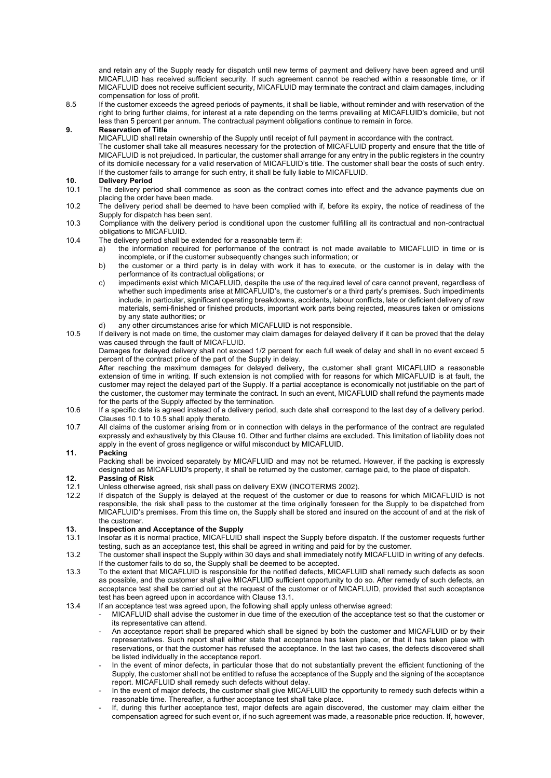and retain any of the Supply ready for dispatch until new terms of payment and delivery have been agreed and until MICAFLUID has received sufficient security. If such agreement cannot be reached within a reasonable time, or if MICAFLUID does not receive sufficient security, MICAFLUID may terminate the contract and claim damages, including compensation for loss of profit.

8.5 If the customer exceeds the agreed periods of payments, it shall be liable, without reminder and with reservation of the right to bring further claims, for interest at a rate depending on the terms prevailing at MICAFLUID's domicile, but not less than 5 percent per annum. The contractual payment obligations continue to remain in force.

#### **9. Reservation of Title**

MICAFLUID shall retain ownership of the Supply until receipt of full payment in accordance with the contract.

The customer shall take all measures necessary for the protection of MICAFLUID property and ensure that the title of MICAFLUID is not prejudiced. In particular, the customer shall arrange for any entry in the public registers in the country of its domicile necessary for a valid reservation of MICAFLUID's title. The customer shall bear the costs of such entry. If the customer fails to arrange for such entry, it shall be fully liable to MICAFLUID.

### **10. Delivery Period**

- The delivery period shall commence as soon as the contract comes into effect and the advance payments due on placing the order have been made.
- 10.2 The delivery period shall be deemed to have been complied with if, before its expiry, the notice of readiness of the Supply for dispatch has been sent.
- 10.3 Compliance with the delivery period is conditional upon the customer fulfilling all its contractual and non-contractual obligations to MICAFLUID.
- 10.4 The delivery period shall be extended for a reasonable term if:
	- a) the information required for performance of the contract is not made available to MICAFLUID in time or is incomplete, or if the customer subsequently changes such information; or
	- b) the customer or a third party is in delay with work it has to execute, or the customer is in delay with the performance of its contractual obligations; or
	- c) impediments exist which MICAFLUID, despite the use of the required level of care cannot prevent, regardless of whether such impediments arise at MICAFLUID's, the customer's or a third party's premises. Such impediments include, in particular, significant operating breakdowns, accidents, labour conflicts, late or deficient delivery of raw materials, semi-finished or finished products, important work parts being rejected, measures taken or omissions by any state authorities; or
	- d) any other circumstances arise for which MICAFLUID is not responsible.
- 10.5 If delivery is not made on time, the customer may claim damages for delayed delivery if it can be proved that the delay was caused through the fault of MICAFLUID.

Damages for delayed delivery shall not exceed 1/2 percent for each full week of delay and shall in no event exceed 5 percent of the contract price of the part of the Supply in delay.

After reaching the maximum damages for delayed delivery, the customer shall grant MICAFLUID a reasonable extension of time in writing. If such extension is not complied with for reasons for which MICAFLUID is at fault, the customer may reject the delayed part of the Supply. If a partial acceptance is economically not justifiable on the part of the customer, the customer may terminate the contract. In such an event, MICAFLUID shall refund the payments made for the parts of the Supply affected by the termination.

- 10.6 If a specific date is agreed instead of a delivery period, such date shall correspond to the last day of a delivery period. Clauses 10.1 to 10.5 shall apply thereto.
- 10.7 All claims of the customer arising from or in connection with delays in the performance of the contract are regulated expressly and exhaustively by this Clause 10. Other and further claims are excluded. This limitation of liability does not apply in the event of gross negligence or wilful misconduct by MICAFLUID.

#### **11. Packing**

Packing shall be invoiced separately by MICAFLUID and may not be returned**.** However, if the packing is expressly designated as MICAFLUID's property, it shall be returned by the customer, carriage paid, to the place of dispatch.

### **12. Passing of Risk**

- 12.1 Unless otherwise agreed, risk shall pass on delivery EXW (INCOTERMS 2002).<br>12.2 If dispatch of the Supply is delayed at the request of the customer or due to
- If dispatch of the Supply is delayed at the request of the customer or due to reasons for which MICAFLUID is not responsible, the risk shall pass to the customer at the time originally foreseen for the Supply to be dispatched from MICAFLUID's premises. From this time on, the Supply shall be stored and insured on the account of and at the risk of the customer.

# **13. Inspection and Acceptance of the Supply**

- Insofar as it is normal practice, MICAFLUID shall inspect the Supply before dispatch. If the customer requests further testing, such as an acceptance test, this shall be agreed in writing and paid for by the customer.
- 13.2 The customer shall inspect the Supply within 30 days and shall immediately notify MICAFLUID in writing of any defects. If the customer fails to do so, the Supply shall be deemed to be accepted.
- 13.3 To the extent that MICAFLUID is responsible for the notified defects, MICAFLUID shall remedy such defects as soon as possible, and the customer shall give MICAFLUID sufficient opportunity to do so. After remedy of such defects, an acceptance test shall be carried out at the request of the customer or of MICAFLUID, provided that such acceptance test has been agreed upon in accordance with Clause 13.1.
- 13.4 If an acceptance test was agreed upon, the following shall apply unless otherwise agreed:
	- MICAFLUID shall advise the customer in due time of the execution of the acceptance test so that the customer or its representative can attend.
	- An acceptance report shall be prepared which shall be signed by both the customer and MICAFLUID or by their representatives. Such report shall either state that acceptance has taken place, or that it has taken place with reservations, or that the customer has refused the acceptance. In the last two cases, the defects discovered shall be listed individually in the acceptance report.
	- In the event of minor defects, in particular those that do not substantially prevent the efficient functioning of the Supply, the customer shall not be entitled to refuse the acceptance of the Supply and the signing of the acceptance report. MICAFLUID shall remedy such defects without delay.
	- In the event of major defects, the customer shall give MICAFLUID the opportunity to remedy such defects within a reasonable time. Thereafter, a further acceptance test shall take place.
	- If, during this further acceptance test, major defects are again discovered, the customer may claim either the compensation agreed for such event or, if no such agreement was made, a reasonable price reduction. If, however,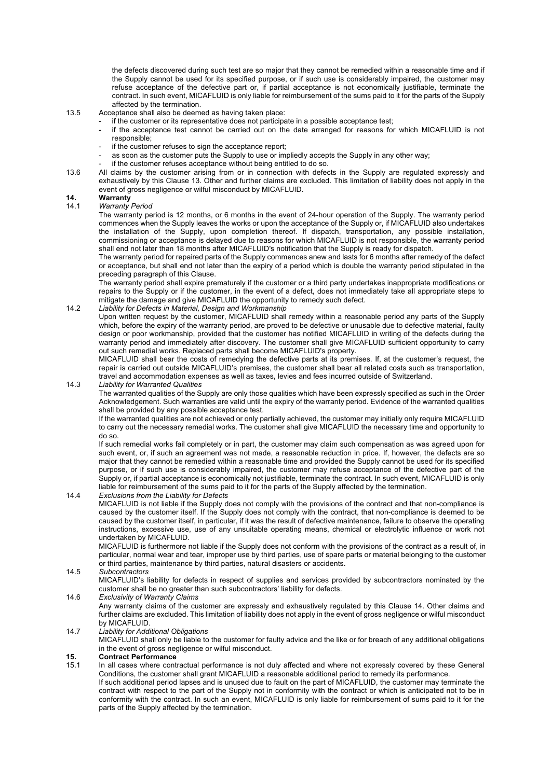the defects discovered during such test are so major that they cannot be remedied within a reasonable time and if the Supply cannot be used for its specified purpose, or if such use is considerably impaired, the customer may refuse acceptance of the defective part or, if partial acceptance is not economically justifiable, terminate the contract. In such event, MICAFLUID is only liable for reimbursement of the sums paid to it for the parts of the Supply affected by the termination.

#### 13.5 Acceptance shall also be deemed as having taken place:

- if the customer or its representative does not participate in a possible acceptance test;
	- if the acceptance test cannot be carried out on the date arranged for reasons for which MICAFLUID is not responsible;
	- if the customer refuses to sign the acceptance report;
- as soon as the customer puts the Supply to use or impliedly accepts the Supply in any other way;
- if the customer refuses acceptance without being entitled to do so.
- 13.6 All claims by the customer arising from or in connection with defects in the Supply are regulated expressly and exhaustively by this Clause 13. Other and further claims are excluded. This limitation of liability does not apply in the event of gross negligence or wilful misconduct by MICAFLUID.

# **14. Warranty**

### 14.1 *Warranty Period*

The warranty period is 12 months, or 6 months in the event of 24-hour operation of the Supply. The warranty period commences when the Supply leaves the works or upon the acceptance of the Supply or, if MICAFLUID also undertakes the installation of the Supply, upon completion thereof. If dispatch, transportation, any possible installation, commissioning or acceptance is delayed due to reasons for which MICAFLUID is not responsible, the warranty period shall end not later than 18 months after MICAFLUID's notification that the Supply is ready for dispatch.

The warranty period for repaired parts of the Supply commences anew and lasts for 6 months after remedy of the defect or acceptance, but shall end not later than the expiry of a period which is double the warranty period stipulated in the preceding paragraph of this Clause.

The warranty period shall expire prematurely if the customer or a third party undertakes inappropriate modifications or repairs to the Supply or if the customer, in the event of a defect, does not immediately take all appropriate steps to mitigate the damage and give MICAFLUID the opportunity to remedy such defect.

#### 14.2 *Liability for Defects in Material, Design and Workmanship*

Upon written request by the customer, MICAFLUID shall remedy within a reasonable period any parts of the Supply which, before the expiry of the warranty period, are proved to be defective or unusable due to defective material, faulty design or poor workmanship, provided that the customer has notified MICAFLUID in writing of the defects during the warranty period and immediately after discovery. The customer shall give MICAFLUID sufficient opportunity to carry out such remedial works. Replaced parts shall become MICAFLUID's property.

MICAFLUID shall bear the costs of remedying the defective parts at its premises. If, at the customer's request, the repair is carried out outside MICAFLUID's premises, the customer shall bear all related costs such as transportation, travel and accommodation expenses as well as taxes, levies and fees incurred outside of Switzerland.

#### 14.3 *Liability for Warranted Qualities*

The warranted qualities of the Supply are only those qualities which have been expressly specified as such in the Order Acknowledgement. Such warranties are valid until the expiry of the warranty period. Evidence of the warranted qualities shall be provided by any possible acceptance test.

If the warranted qualities are not achieved or only partially achieved, the customer may initially only require MICAFLUID to carry out the necessary remedial works. The customer shall give MICAFLUID the necessary time and opportunity to do so.

If such remedial works fail completely or in part, the customer may claim such compensation as was agreed upon for such event, or, if such an agreement was not made, a reasonable reduction in price. If, however, the defects are so major that they cannot be remedied within a reasonable time and provided the Supply cannot be used for its specified purpose, or if such use is considerably impaired, the customer may refuse acceptance of the defective part of the Supply or, if partial acceptance is economically not justifiable, terminate the contract. In such event, MICAFLUID is only liable for reimbursement of the sums paid to it for the parts of the Supply affected by the termination.

#### 14.4 *Exclusions from the Liability for Defects*

MICAFLUID is not liable if the Supply does not comply with the provisions of the contract and that non-compliance is caused by the customer itself. If the Supply does not comply with the contract, that non-compliance is deemed to be caused by the customer itself, in particular, if it was the result of defective maintenance, failure to observe the operating instructions, excessive use, use of any unsuitable operating means, chemical or electrolytic influence or work not undertaken by MICAFLUID.

MICAFLUID is furthermore not liable if the Supply does not conform with the provisions of the contract as a result of, in particular, normal wear and tear, improper use by third parties, use of spare parts or material belonging to the customer or third parties, maintenance by third parties, natural disasters or accidents.

#### 14.5 *Subcontractors*

MICAFLUID's liability for defects in respect of supplies and services provided by subcontractors nominated by the customer shall be no greater than such subcontractors' liability for defects.

#### 14.6 *Exclusivity of Warranty Claims*

Any warranty claims of the customer are expressly and exhaustively regulated by this Clause 14. Other claims and further claims are excluded. This limitation of liability does not apply in the event of gross negligence or wilful misconduct by MICAFLUID.

#### 14.7 *Liability for Additional Obligations*

MICAFLUID shall only be liable to the customer for faulty advice and the like or for breach of any additional obligations in the event of gross negligence or wilful misconduct.

#### **15. Contract Performance**

- 15.1 In all cases where contractual performance is not duly affected and where not expressly covered by these General Conditions, the customer shall grant MICAFLUID a reasonable additional period to remedy its performance.
	- If such additional period lapses and is unused due to fault on the part of MICAFLUID, the customer may terminate the contract with respect to the part of the Supply not in conformity with the contract or which is anticipated not to be in conformity with the contract. In such an event, MICAFLUID is only liable for reimbursement of sums paid to it for the parts of the Supply affected by the termination.